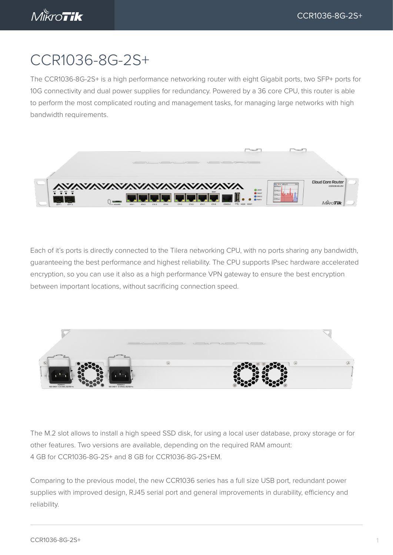# CCR1036-8G-2S+

The CCR1036-8G-2S+ is a high performance networking router with eight Gigabit ports, two SFP+ ports for 10G connectivity and dual power supplies for redundancy. Powered by a 36 core CPU, this router is able to perform the most complicated routing and management tasks, for managing large networks with high bandwidth requirements.



Each of it's ports is directly connected to the Tilera networking CPU, with no ports sharing any bandwidth, guaranteeing the best performance and highest reliability. The CPU supports IPsec hardware accelerated encryption, so you can use it also as a high performance VPN gateway to ensure the best encryption between important locations, without sacrificing connection speed.



The M.2 slot allows to install a high speed SSD disk, for using a local user database, proxy storage or for other features. Two versions are available, depending on the required RAM amount: 4 GB for CCR1036-8G-2S+ and 8 GB for CCR1036-8G-2S+EM.

Comparing to the previous model, the new CCR1036 series has a full size USB port, redundant power supplies with improved design, RJ45 serial port and general improvements in durability, efficiency and reliability.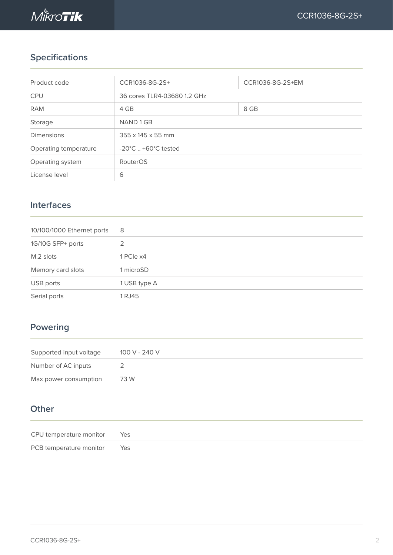

## **Specifications**

| Product code          | CCR1036-8G-2S+                         | CCR1036-8G-2S+EM |  |  |
|-----------------------|----------------------------------------|------------------|--|--|
| <b>CPU</b>            | 36 cores TLR4-03680 1.2 GHz            |                  |  |  |
| <b>RAM</b>            | 4 GB                                   | 8 GB             |  |  |
| Storage               | NAND 1 GB                              |                  |  |  |
| <b>Dimensions</b>     | $355 \times 145 \times 55$ mm          |                  |  |  |
| Operating temperature | $-20^{\circ}$ C $+60^{\circ}$ C tested |                  |  |  |
| Operating system      | RouterOS                               |                  |  |  |
| License level         | 6                                      |                  |  |  |

## **Interfaces**

| 10/100/1000 Ethernet ports | 8            |
|----------------------------|--------------|
| 1G/10G SFP+ ports          | 2            |
| M.2 slots                  | 1 PCIe x4    |
| Memory card slots          | 1 microSD    |
| USB ports                  | 1 USB type A |
| Serial ports               | 1 RJ45       |

## **Powering**

| Supported input voltage | 100 V - 240 V |
|-------------------------|---------------|
| Number of AC inputs     |               |
| Max power consumption   | 73 W          |

## **Other**

| CPU temperature monitor   Yes |  |
|-------------------------------|--|
| PCB temperature monitor Yes   |  |